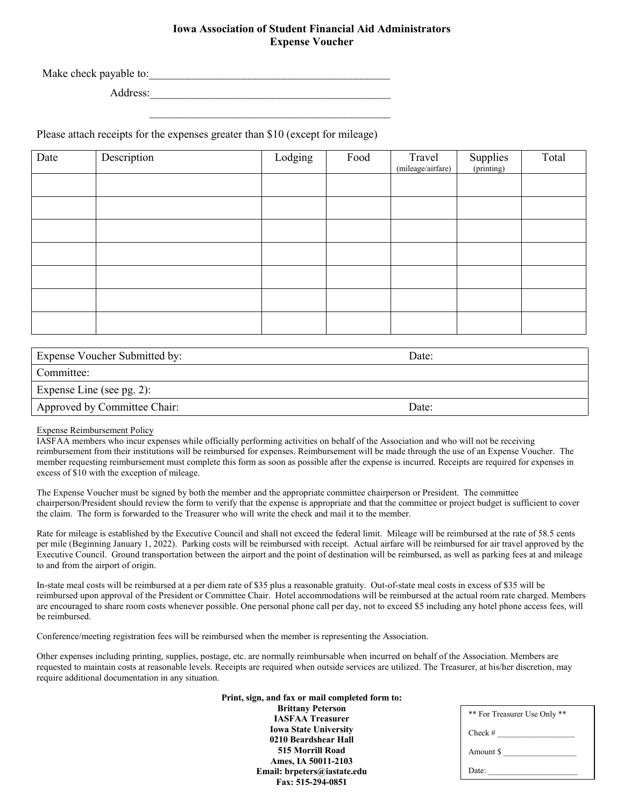# **Iowa Association of Student Financial Aid Administrators Expense Voucher**

\_\_\_\_\_\_\_\_\_\_\_\_\_\_\_\_\_\_\_\_\_\_\_\_\_\_\_\_\_\_\_\_\_\_\_\_\_\_\_\_\_\_\_

Make check payable to:

Address:

Please attach receipts for the expenses greater than \$10 (except for mileage)

| Date | Description | Lodging | Food | Travel<br>(mileage/airfare) | Supplies<br>(printing) | Total |
|------|-------------|---------|------|-----------------------------|------------------------|-------|
|      |             |         |      |                             |                        |       |
|      |             |         |      |                             |                        |       |
|      |             |         |      |                             |                        |       |
|      |             |         |      |                             |                        |       |
|      |             |         |      |                             |                        |       |
|      |             |         |      |                             |                        |       |
|      |             |         |      |                             |                        |       |

| Expense Voucher Submitted by: | Date: |
|-------------------------------|-------|
| Committee:                    |       |
| Expense Line (see pg. 2):     |       |
| Approved by Committee Chair:  | Date: |

# Expense Reimbursement Policy

IASFAA members who incur expenses while officially performing activities on behalf of the Association and who will not be receiving reimbursement from their institutions will be reimbursed for expenses. Reimbursement will be made through the use of an Expense Voucher. The member requesting reimbursement must complete this form as soon as possible after the expense is incurred. Receipts are required for expenses in excess of \$10 with the exception of mileage.

The Expense Voucher must be signed by both the member and the appropriate committee chairperson or President. The committee chairperson/President should review the form to verify that the expense is appropriate and that the committee or project budget is sufficient to cover the claim. The form is forwarded to the Treasurer who will write the check and mail it to the member.

Rate for mileage is established by the Executive Council and shall not exceed the federal limit. Mileage will be reimbursed at the rate of 58.5 cents per mile (Beginning January 1, 2022). Parking costs will be reimbursed with receipt. Actual airfare will be reimbursed for air travel approved by the Executive Council. Ground transportation between the airport and the point of destination will be reimbursed, as well as parking fees at and mileage to and from the airport of origin.

In-state meal costs will be reimbursed at a per diem rate of \$35 plus a reasonable gratuity. Out-of-state meal costs in excess of \$35 will be reimbursed upon approval of the President or Committee Chair. Hotel accommodations will be reimbursed at the actual room rate charged. Members are encouraged to share room costs whenever possible. One personal phone call per day, not to exceed \$5 including any hotel phone access fees, will be reimbursed.

Conference/meeting registration fees will be reimbursed when the member is representing the Association.

Other expenses including printing, supplies, postage, etc. are normally reimbursable when incurred on behalf of the Association. Members are requested to maintain costs at reasonable levels. Receipts are required when outside services are utilized. The Treasurer, at his/her discretion, may require additional documentation in any situation.

> **Print, sign, and fax or mail completed form to: Brittany Peterson IASFAA Treasurer**

**Iowa State University 0210 Beardshear Hall 515 Morrill Road Ames, IA 50011-2103 Email: brpeters@iastate.edu Fax: 515-294-0851**

| ** For Treasurer Use Only ** |  |  |  |
|------------------------------|--|--|--|
| $Check \#$                   |  |  |  |
| Amount \$                    |  |  |  |
| Date:                        |  |  |  |